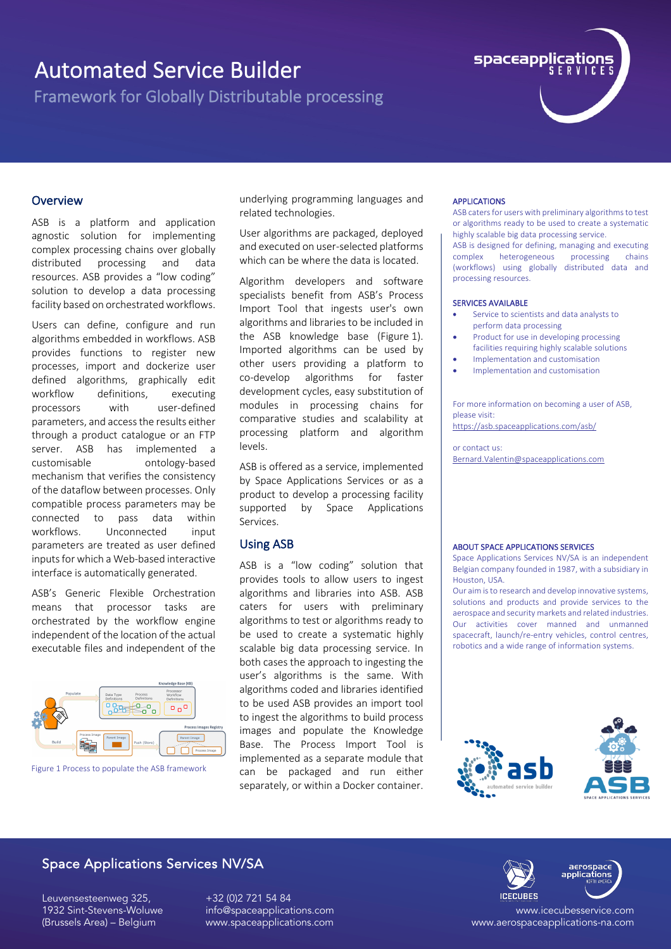Framework for Globally Distributable processing



### **Overview**

ASB is a platform and application agnostic solution for implementing complex processing chains over globally distributed processing and data resources. ASB provides a "low coding" solution to develop a data processing facility based on orchestrated workflows.

Users can define, configure and run algorithms embedded in workflows. ASB provides functions to register new processes, import and dockerize user defined algorithms, graphically edit workflow definitions, executing processors with user-defined parameters, and access the results either through a product catalogue or an FTP server. ASB has implemented a customisable ontology-based mechanism that verifies the consistency of the dataflow between processes. Only compatible process parameters may be connected to pass data within workflows. Unconnected input parameters are treated as user defined inputs for which a Web-based interactive interface is automatically generated.

ASB's Generic Flexible Orchestration means that processor tasks are orchestrated by the workflow engine independent of the location of the actual executable files and independent of the



Figure 1 Process to populate the ASB framework

underlying programming languages and related technologies.

User algorithms are packaged, deployed and executed on user-selected platforms which can be where the data is located.

Algorithm developers and software specialists benefit from ASB's Process Import Tool that ingests user's own algorithms and libraries to be included in the ASB knowledge base (Figure 1). Imported algorithms can be used by other users providing a platform to co-develop algorithms for faster development cycles, easy substitution of modules in processing chains for comparative studies and scalability at processing platform and algorithm levels.

ASB is offered as a service, implemented by Space Applications Services or as a product to develop a processing facility supported by Space Applications Services.

#### Using ASB

ASB is a "low coding" solution that provides tools to allow users to ingest algorithms and libraries into ASB. ASB caters for users with preliminary algorithms to test or algorithms ready to be used to create a systematic highly scalable big data processing service. In both cases the approach to ingesting the user's algorithms is the same. With algorithms coded and libraries identified to be used ASB provides an import tool to ingest the algorithms to build process images and populate the Knowledge Base. The Process Import Tool is implemented as a separate module that can be packaged and run either separately, or within a Docker container.

#### APPLICATIONS

ASB caters for users with preliminary algorithms to test or algorithms ready to be used to create a systematic highly scalable big data processing service.

ASB is designed for defining, managing and executing complex heterogeneous processing chains (workflows) using globally distributed data and processing resources.

#### SERVICES AVAILABLE

- Service to scientists and data analysts to perform data processing
- Product for use in developing processing facilities requiring highly scalable solutions
- Implementation and customisation
- Implementation and customisation

For more information on becoming a user of ASB, please visit:

https://asb.spaceapplications.com/asb/

or contact us: Bernard.Valentin@spaceapplications.com

#### ABOUT SPACE APPLICATIONS SERVICES

Space Applications Services NV/SA is an independent Belgian company founded in 1987, with a subsidiary in Houston, USA.

Our aim is to research and develop innovative systems, solutions and products and provide services to the aerospace and security markets and related industries. Our activities cover manned and unmanned spacecraft, launch/re-entry vehicles, control centres, robotics and a wide range of information systems.



## Space Applications Services NV/SA

Leuvensesteenweg 325, 1932 Sint-Stevens-Woluwe (Brussels Area) – Belgium

+32 (0)2 721 54 84 info@spaceapplications.com www.spaceapplications.com



www.icecubesservice.com www.aerospaceapplications-na.com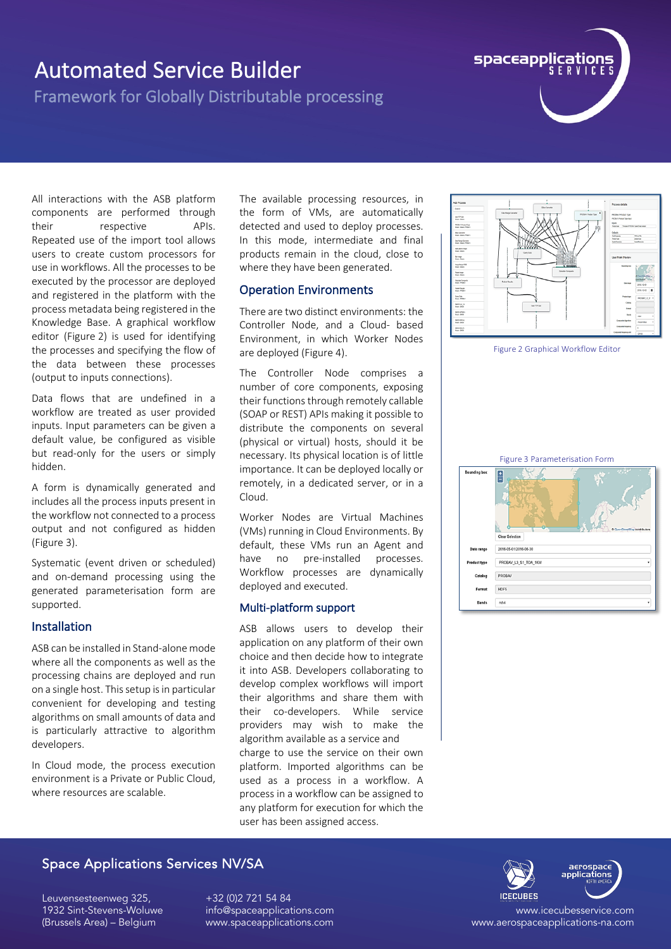Framework for Globally Distributable processing



All interactions with the ASB platform components are performed through their respective APIs. Repeated use of the import tool allows users to create custom processors for use in workflows. All the processes to be executed by the processor are deployed and registered in the platform with the process metadata being registered in the Knowledge Base. A graphical workflow editor (Figure 2) is used for identifying the processes and specifying the flow of the data between these processes (output to inputs connections).

Data flows that are undefined in a workflow are treated as user provided inputs. Input parameters can be given a default value, be configured as visible but read-only for the users or simply hidden.

A form is dynamically generated and includes all the process inputs present in the workflow not connected to a process output and not configured as hidden (Figure 3).

Systematic (event driven or scheduled) and on-demand processing using the generated parameterisation form are supported.

## Installation

ASB can be installed in Stand-alone mode where all the components as well as the processing chains are deployed and run on a single host. This setup is in particular convenient for developing and testing algorithms on small amounts of data and is particularly attractive to algorithm developers.

In Cloud mode, the process execution environment is a Private or Public Cloud, where resources are scalable.

The available processing resources, in the form of VMs, are automatically detected and used to deploy processes. In this mode, intermediate and final products remain in the cloud, close to where they have been generated.

## Operation Environments

There are two distinct environments: the Controller Node, and a Cloud- based Environment, in which Worker Nodes are deployed (Figure 4).

The Controller Node comprises a number of core components, exposing their functions through remotely callable (SOAP or REST) APIs making it possible to distribute the components on several (physical or virtual) hosts, should it be necessary. Its physical location is of little importance. It can be deployed locally or remotely, in a dedicated server, or in a Cloud.

Worker Nodes are Virtual Machines (VMs) running in Cloud Environments. By default, these VMs run an Agent and have no pre-installed processes. Workflow processes are dynamically deployed and executed.

## Multi-platform support

ASB allows users to develop their application on any platform of their own choice and then decide how to integrate it into ASB. Developers collaborating to develop complex workflows will import their algorithms and share them with their co-developers. While service providers may wish to make the algorithm available as a service and charge to use the service on their own platform. Imported algorithms can be used as a process in a workflow. A process in a workflow can be assigned to any platform for execution for which the user has been assigned access.



Figure 2 Graphical Workflow Editor



## Space Applications Services NV/SA

Leuvensesteenweg 325, 1932 Sint-Stevens-Woluwe (Brussels Area) – Belgium

+32 (0)2 721 54 84 info@spaceapplications.com www.spaceapplications.com

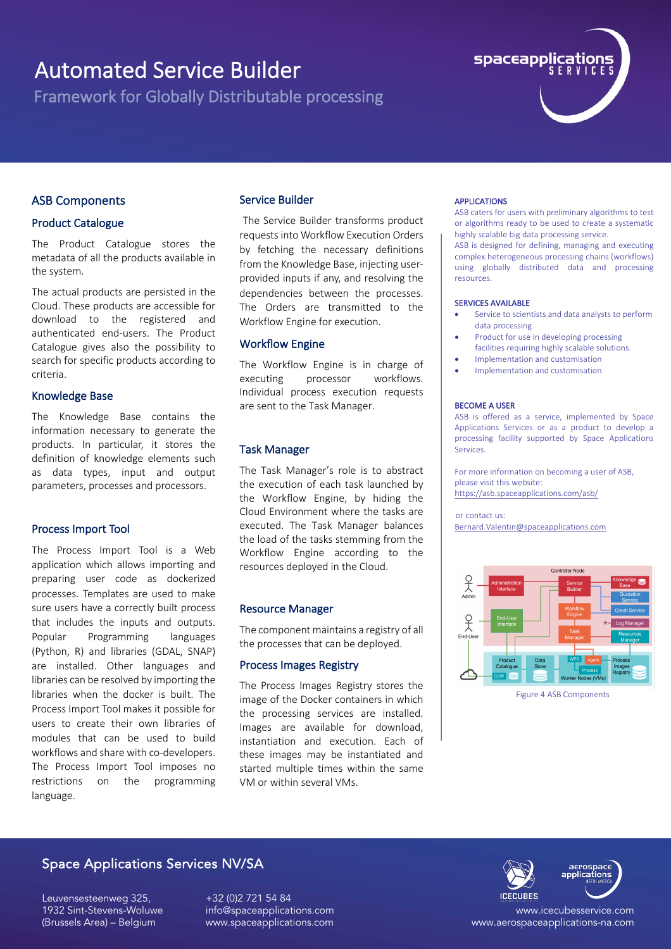Framework for Globally Distributable processing



## ASB Components

#### Product Catalogue

The Product Catalogue stores the metadata of all the products available in the system.

The actual products are persisted in the Cloud. These products are accessible for download to the registered and authenticated end-users. The Product Catalogue gives also the possibility to search for specific products according to criteria.

#### Knowledge Base

The Knowledge Base contains the information necessary to generate the products. In particular, it stores the definition of knowledge elements such as data types, input and output parameters, processes and processors.

#### Process Import Tool

The Process Import Tool is a Web application which allows importing and preparing user code as dockerized processes. Templates are used to make sure users have a correctly built process that includes the inputs and outputs. Popular Programming languages (Python, R) and libraries (GDAL, SNAP) are installed. Other languages and libraries can be resolved by importing the libraries when the docker is built. The Process Import Tool makes it possible for users to create their own libraries of modules that can be used to build workflows and share with co-developers. The Process Import Tool imposes no restrictions on the programming language.

#### Service Builder

The Service Builder transforms product requests into Workflow Execution Orders by fetching the necessary definitions from the Knowledge Base, injecting userprovided inputs if any, and resolving the dependencies between the processes. The Orders are transmitted to the Workflow Engine for execution.

#### Workflow Engine

The Workflow Engine is in charge of executing processor workflows. Individual process execution requests are sent to the Task Manager.

### Task Manager

The Task Manager's role is to abstract the execution of each task launched by the Workflow Engine, by hiding the Cloud Environment where the tasks are executed. The Task Manager balances the load of the tasks stemming from the Workflow Engine according to the resources deployed in the Cloud.

#### Resource Manager

The component maintains a registry of all the processes that can be deployed.

#### Process Images Registry

The Process Images Registry stores the image of the Docker containers in which the processing services are installed. Images are available for download, instantiation and execution. Each of these images may be instantiated and started multiple times within the same VM or within several VMs.

#### APPLICATIONS

ASB caters for users with preliminary algorithms to test or algorithms ready to be used to create a systematic highly scalable big data processing service.

ASB is designed for defining, managing and executing complex heterogeneous processing chains (workflows) using globally distributed data and processing resources.

#### SERVICES AVAILABLE

- Service to scientists and data analysts to perform data processing
- Product for use in developing processing facilities requiring highly scalable solutions.
- Implementation and customisation
- Implementation and customisation

#### BECOME A USER

ASB is offered as a service, implemented by Space Applications Services or as a product to develop a processing facility supported by Space Applications Services.

For more information on becoming a user of ASB, please visit this website: https://asb.spaceapplications.com/asb/

or contact us: Bernard.Valentin@spaceapplications.com



Figure 4 ASB Components

## Space Applications Services NV/SA

Leuvensesteenweg 325, 1932 Sint-Stevens-Woluwe (Brussels Area) – Belgium

+32 (0)2 721 54 84 info@spaceapplications.com www.spaceapplications.com



www.aerospaceapplications-na.com